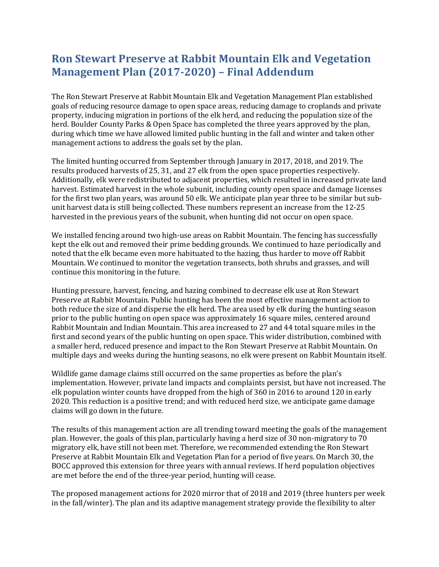## **Ron Stewart Preserve at Rabbit Mountain Elk and Vegetation Management Plan (2017-2020) – Final Addendum**

The Ron Stewart Preserve at Rabbit Mountain Elk and Vegetation Management Plan established goals of reducing resource damage to open space areas, reducing damage to croplands and private property, inducing migration in portions of the elk herd, and reducing the population size of the herd. Boulder County Parks & Open Space has completed the three years approved by the plan, during which time we have allowed limited public hunting in the fall and winter and taken other management actions to address the goals set by the plan.

The limited hunting occurred from September through January in 2017, 2018, and 2019. The results produced harvests of 25, 31, and 27 elk from the open space properties respectively. Additionally, elk were redistributed to adjacent properties, which resulted in increased private land harvest. Estimated harvest in the whole subunit, including county open space and damage licenses for the first two plan years, was around 50 elk. We anticipate plan year three to be similar but subunit harvest data is still being collected. These numbers represent an increase from the 12-25 harvested in the previous years of the subunit, when hunting did not occur on open space.

We installed fencing around two high-use areas on Rabbit Mountain. The fencing has successfully kept the elk out and removed their prime bedding grounds. We continued to haze periodically and noted that the elk became even more habituated to the hazing, thus harder to move off Rabbit Mountain. We continued to monitor the vegetation transects, both shrubs and grasses, and will continue this monitoring in the future.

Hunting pressure, harvest, fencing, and hazing combined to decrease elk use at Ron Stewart Preserve at Rabbit Mountain. Public hunting has been the most effective management action to both reduce the size of and disperse the elk herd. The area used by elk during the hunting season prior to the public hunting on open space was approximately 16 square miles, centered around Rabbit Mountain and Indian Mountain. This area increased to 27 and 44 total square miles in the first and second years of the public hunting on open space. This wider distribution, combined with a smaller herd, reduced presence and impact to the Ron Stewart Preserve at Rabbit Mountain. On multiple days and weeks during the hunting seasons, no elk were present on Rabbit Mountain itself.

Wildlife game damage claims still occurred on the same properties as before the plan's implementation. However, private land impacts and complaints persist, but have not increased. The elk population winter counts have dropped from the high of 360 in 2016 to around 120 in early 2020. This reduction is a positive trend; and with reduced herd size, we anticipate game damage claims will go down in the future.

The results of this management action are all trending toward meeting the goals of the management plan. However, the goals of this plan, particularly having a herd size of 30 non-migratory to 70 migratory elk, have still not been met. Therefore, we recommended extending the Ron Stewart Preserve at Rabbit Mountain Elk and Vegetation Plan for a period of five years. On March 30, the BOCC approved this extension for three years with annual reviews. If herd population objectives are met before the end of the three-year period, hunting will cease.

The proposed management actions for 2020 mirror that of 2018 and 2019 (three hunters per week in the fall/winter). The plan and its adaptive management strategy provide the flexibility to alter